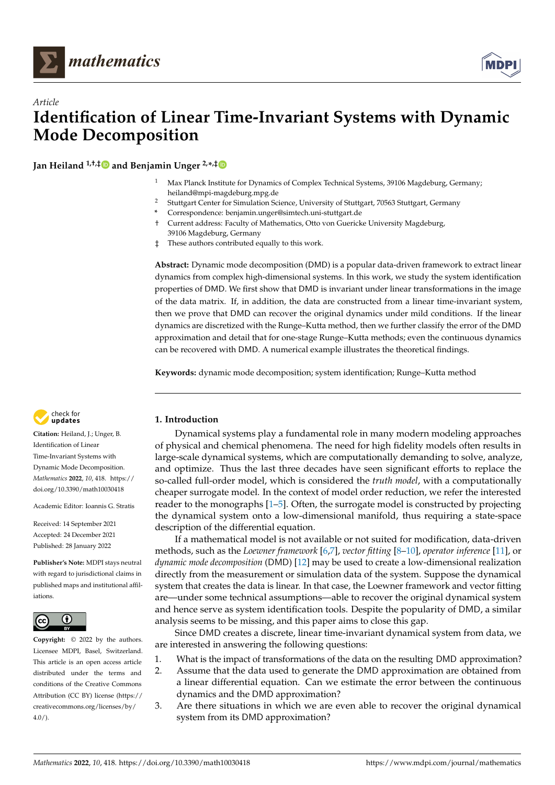



# *Article* **Identification of Linear Time-Invariant Systems with Dynamic Mode Decomposition**

**Jan Heiland 1,†,‡ and Benjamin Unger 2,\* ,[‡](https://orcid.org/0000-0003-4272-1079)**

- <sup>1</sup> Max Planck Institute for Dynamics of Complex Technical Systems, 39106 Magdeburg, Germany; heiland@mpi-magdeburg.mpg.de
- <sup>2</sup> Stuttgart Center for Simulation Science, University of Stuttgart, 70563 Stuttgart, Germany
- **\*** Correspondence: benjamin.unger@simtech.uni-stuttgart.de
- † Current address: Faculty of Mathematics, Otto von Guericke University Magdeburg, 39106 Magdeburg, Germany
- ‡ These authors contributed equally to this work.

**Abstract:** Dynamic mode decomposition (DMD) is a popular data-driven framework to extract linear dynamics from complex high-dimensional systems. In this work, we study the system identification properties of DMD. We first show that DMD is invariant under linear transformations in the image of the data matrix. If, in addition, the data are constructed from a linear time-invariant system, then we prove that DMD can recover the original dynamics under mild conditions. If the linear dynamics are discretized with the Runge–Kutta method, then we further classify the error of the DMD approximation and detail that for one-stage Runge–Kutta methods; even the continuous dynamics can be recovered with DMD. A numerical example illustrates the theoretical findings.

**Keywords:** dynamic mode decomposition; system identification; Runge–Kutta method



**Citation:** Heiland, J.; Unger, B. Identification of Linear Time-Invariant Systems with Dynamic Mode Decomposition. *Mathematics* **2022**, *10*, 418. [https://](https://doi.org/10.3390/math10030418) [doi.org/10.3390/math10030418](https://doi.org/10.3390/math10030418)

Academic Editor: Ioannis G. Stratis

Received: 14 September 2021 Accepted: 24 December 2021 Published: 28 January 2022

**Publisher's Note:** MDPI stays neutral with regard to jurisdictional claims in published maps and institutional affiliations.



**Copyright:** © 2022 by the authors. Licensee MDPI, Basel, Switzerland. This article is an open access article distributed under the terms and conditions of the Creative Commons Attribution (CC BY) license [\(https://](https://creativecommons.org/licenses/by/4.0/) [creativecommons.org/licenses/by/](https://creativecommons.org/licenses/by/4.0/)  $4.0/$ ).

# **1. Introduction**

Dynamical systems play a fundamental role in many modern modeling approaches of physical and chemical phenomena. The need for high fidelity models often results in large-scale dynamical systems, which are computationally demanding to solve, analyze, and optimize. Thus the last three decades have seen significant efforts to replace the so-called full-order model, which is considered the *truth model*, with a computationally cheaper surrogate model. In the context of model order reduction, we refer the interested reader to the monographs [\[1](#page-12-0)[–5\]](#page-12-1). Often, the surrogate model is constructed by projecting the dynamical system onto a low-dimensional manifold, thus requiring a state-space description of the differential equation.

If a mathematical model is not available or not suited for modification, data-driven methods, such as the *Loewner framework* [\[6,](#page-12-2)[7\]](#page-12-3), *vector fitting* [\[8–](#page-12-4)[10\]](#page-12-5), *operator inference* [\[11\]](#page-12-6), or *dynamic mode decomposition* (DMD) [\[12\]](#page-12-7) may be used to create a low-dimensional realization directly from the measurement or simulation data of the system. Suppose the dynamical system that creates the data is linear. In that case, the Loewner framework and vector fitting are—under some technical assumptions—able to recover the original dynamical system and hence serve as system identification tools. Despite the popularity of DMD, a similar analysis seems to be missing, and this paper aims to close this gap.

Since DMD creates a discrete, linear time-invariant dynamical system from data, we are interested in answering the following questions:

- 1. What is the impact of transformations of the data on the resulting DMD approximation?
- 2. Assume that the data used to generate the DMD approximation are obtained from a linear differential equation. Can we estimate the error between the continuous dynamics and the DMD approximation?
- 3. Are there situations in which we are even able to recover the original dynamical system from its DMD approximation?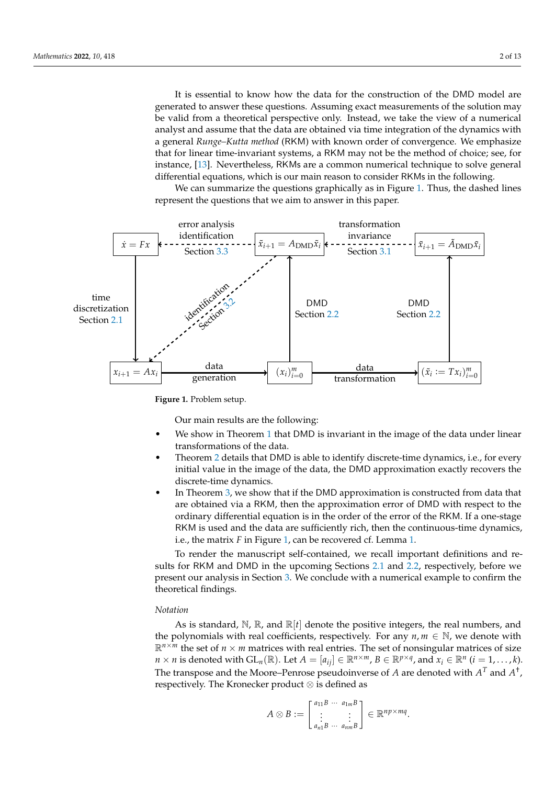It is essential to know how the data for the construction of the DMD model are generated to answer these questions. Assuming exact measurements of the solution may be valid from a theoretical perspective only. Instead, we take the view of a numerical analyst and assume that the data are obtained via time integration of the dynamics with a general *Runge–Kutta method* (RKM) with known order of convergence. We emphasize that for linear time-invariant systems, a RKM may not be the method of choice; see, for instance, [\[13\]](#page-12-8). Nevertheless, RKMs are a common numerical technique to solve general differential equations, which is our main reason to consider RKMs in the following.

<span id="page-1-0"></span>We can summarize the questions graphically as in Figure [1.](#page-1-0) Thus, the dashed lines represent the questions that we aim to answer in this paper.



**Figure 1.** Problem setup.

Our main results are the following:

- We show in Theorem [1](#page-5-1) that DMD is invariant in the image of the data under linear transformations of the data.
- Theorem [2](#page-6-0) details that DMD is able to identify discrete-time dynamics, i.e., for every initial value in the image of the data, the DMD approximation exactly recovers the discrete-time dynamics.
- In Theorem [3,](#page-7-1) we show that if the DMD approximation is constructed from data that are obtained via a RKM, then the approximation error of DMD with respect to the ordinary differential equation is in the order of the error of the RKM. If a one-stage RKM is used and the data are sufficiently rich, then the continuous-time dynamics, i.e., the matrix *F* in Figure [1,](#page-1-0) can be recovered cf. Lemma [1.](#page-8-0)

To render the manuscript self-contained, we recall important definitions and results for RKM and DMD in the upcoming Sections [2.1](#page-2-0) and [2.2,](#page-4-0) respectively, before we present our analysis in Section [3.](#page-5-2) We conclude with a numerical example to confirm the theoretical findings.

### *Notation*

As is standard,  $\mathbb{N}, \mathbb{R}$ , and  $\mathbb{R}[t]$  denote the positive integers, the real numbers, and the polynomials with real coefficients, respectively. For any  $n, m \in \mathbb{N}$ , we denote with  $\mathbb{R}^{n \times m}$  the set of  $n \times m$  matrices with real entries. The set of nonsingular matrices of size *n* × *n* is denoted with  $GL_n(\mathbb{R})$ . Let  $A = [a_{ij}] \in \mathbb{R}^{n \times m}$ ,  $B \in \mathbb{R}^{p \times q}$ , and  $x_i \in \mathbb{R}^n$   $(i = 1, ..., k)$ . The transpose and the Moore–Penrose pseudoinverse of *A* are denoted with  $A<sup>T</sup>$  and  $A<sup>†</sup>$ , respectively. The Kronecker product ⊗ is defined as

$$
A \otimes B := \begin{bmatrix} a_{11}B & \cdots & a_{1m}B \\ \vdots & & \vdots \\ a_{n1}B & \cdots & a_{nm}B \end{bmatrix} \in \mathbb{R}^{np \times mq}.
$$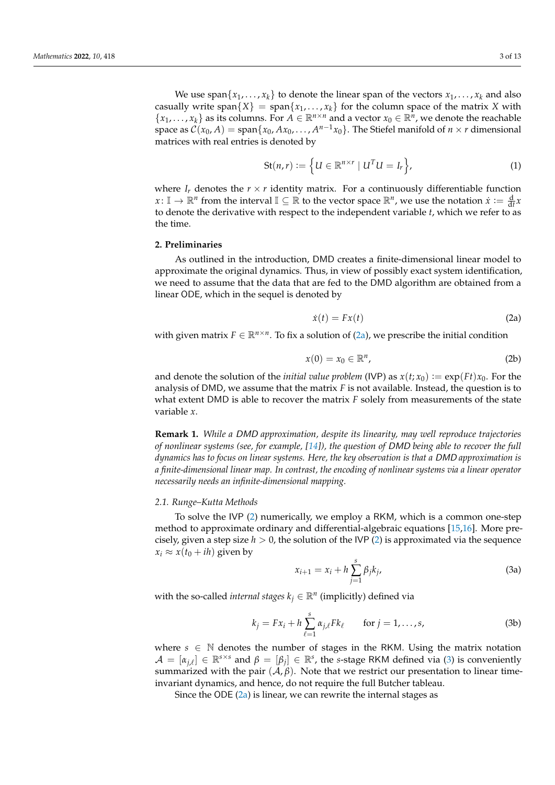We use span $\{x_1, \ldots, x_k\}$  to denote the linear span of the vectors  $x_1, \ldots, x_k$  and also casually write span $\{X\}$  = span $\{x_1, \ldots, x_k\}$  for the column space of the matrix *X* with  ${x_1, \ldots, x_k}$  as its columns. For  $A \in \mathbb{R}^{n \times n}$  and a vector  $x_0 \in \mathbb{R}^n$ , we denote the reachable space as  $C(x_0, A) = \text{span}\{x_0, Ax_0, \ldots, A^{n-1}x_0\}$ . The Stiefel manifold of  $n \times r$  dimensional matrices with real entries is denoted by

<span id="page-2-4"></span>
$$
\mathrm{St}(n,r) := \left\{ U \in \mathbb{R}^{n \times r} \mid U^T U = I_r \right\},\tag{1}
$$

where  $I_r$  denotes the  $r \times r$  identity matrix. For a continuously differentiable function  $x: \mathbb{I} \to \mathbb{R}^n$  from the interval  $\mathbb{I} \subseteq \mathbb{R}$  to the vector space  $\mathbb{R}^n$ , we use the notation  $\dot{x} := \frac{d}{dt}x$ to denote the derivative with respect to the independent variable *t*, which we refer to as the time.

# **2. Preliminaries**

As outlined in the introduction, DMD creates a finite-dimensional linear model to approximate the original dynamics. Thus, in view of possibly exact system identification, we need to assume that the data that are fed to the DMD algorithm are obtained from a linear ODE, which in the sequel is denoted by

<span id="page-2-1"></span>
$$
\dot{x}(t) = Fx(t) \tag{2a}
$$

<span id="page-2-2"></span>with given matrix  $F \in \mathbb{R}^{n \times n}$ . To fix a solution of [\(2a\)](#page-2-1), we prescribe the initial condition

$$
x(0) = x_0 \in \mathbb{R}^n, \tag{2b}
$$

and denote the solution of the *initial value problem* (IVP) as  $x(t; x_0) := \exp(Ft)x_0$ . For the analysis of DMD, we assume that the matrix *F* is not available. Instead, the question is to what extent DMD is able to recover the matrix *F* solely from measurements of the state variable *x*.

**Remark 1.** *While a* DMD *approximation, despite its linearity, may well reproduce trajectories of nonlinear systems (see, for example, [\[14\]](#page-12-9)), the question of* DMD *being able to recover the full dynamics has to focus on linear systems. Here, the key observation is that a* DMD *approximation is a finite-dimensional linear map. In contrast, the encoding of nonlinear systems via a linear operator necessarily needs an infinite-dimensional mapping.*

#### <span id="page-2-0"></span>*2.1. Runge–Kutta Methods*

To solve the IVP [\(2\)](#page-2-2) numerically, we employ a RKM, which is a common one-step method to approximate ordinary and differential-algebraic equations [\[15](#page-12-10)[,16\]](#page-12-11). More precisely, given a step size  $h > 0$ , the solution of the IVP [\(2\)](#page-2-2) is approximated via the sequence  $x_i \approx x(t_0 + ih)$  given by

<span id="page-2-3"></span>
$$
x_{i+1} = x_i + h \sum_{j=1}^{s} \beta_j k_j,
$$
 (3a)

with the so-called *internal stages*  $k_j \in \mathbb{R}^n$  (implicitly) defined via

$$
k_j = Fx_i + h \sum_{\ell=1}^s \alpha_{j,\ell} Fk_{\ell} \qquad \text{for } j = 1, \dots, s,
$$
 (3b)

where  $s \in \mathbb{N}$  denotes the number of stages in the RKM. Using the matrix notation  $A = [\alpha_{j,\ell}] \in \mathbb{R}^{s \times s}$  and  $\beta = [\beta_j] \in \mathbb{R}^s$ , the *s*-stage RKM defined via [\(3\)](#page-2-3) is conveniently summarized with the pair  $(\mathcal{A}, \beta)$ . Note that we restrict our presentation to linear timeinvariant dynamics, and hence, do not require the full Butcher tableau.

Since the ODE [\(2a\)](#page-2-1) is linear, we can rewrite the internal stages as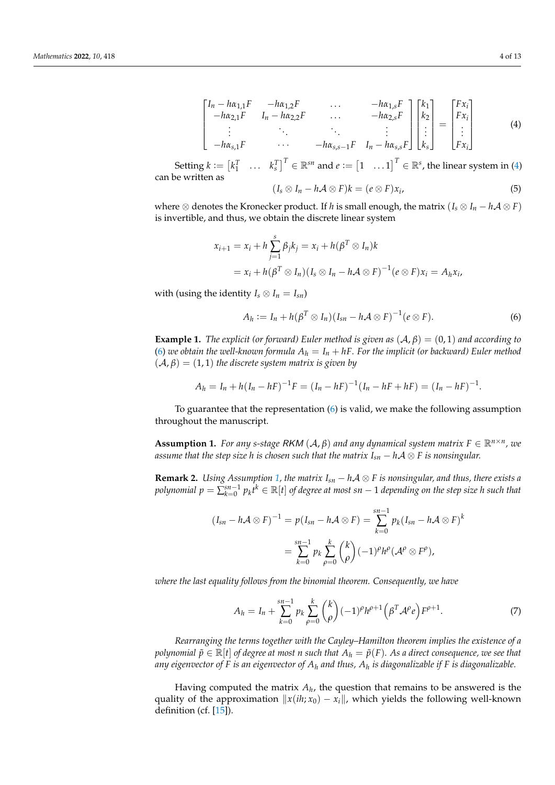<span id="page-3-0"></span>
$$
\begin{bmatrix}\nI_n - h\alpha_{1,1}F & -h\alpha_{1,2}F & \dots & -h\alpha_{1,s}F \\
-h\alpha_{2,1}F & I_n - h\alpha_{2,2}F & \dots & -h\alpha_{2,s}F \\
\vdots & \ddots & \vdots & \vdots \\
-h\alpha_{s,1}F & \dots & -h\alpha_{s,s-1}F & I_n - h\alpha_{s,s}F\n\end{bmatrix}\n\begin{bmatrix}\nk_1 \\
k_2 \\
\vdots \\
k_s\n\end{bmatrix} =\n\begin{bmatrix}\nFx_i \\
Fx_i \\
\vdots \\
Fx_i\n\end{bmatrix}
$$
\n(4)

Setting  $k := \begin{bmatrix} k_1^T & \dots & k_s^T \end{bmatrix}^T \in \mathbb{R}^{sn}$  and  $e := \begin{bmatrix} 1 & \dots 1 \end{bmatrix}^T \in \mathbb{R}^s$ , the linear system in [\(4\)](#page-3-0) can be written as

$$
(I_s \otimes I_n - h\mathcal{A} \otimes F)k = (e \otimes F)x_i, \qquad (5)
$$

where  $\otimes$  denotes the Kronecker product. If *h* is small enough, the matrix ( $I_s \otimes I_n - h\mathcal{A} \otimes F$ ) is invertible, and thus, we obtain the discrete linear system

$$
x_{i+1} = x_i + h \sum_{j=1}^{s} \beta_j k_j = x_i + h(\beta^T \otimes I_n) k
$$
  
=  $x_i + h(\beta^T \otimes I_n)(I_s \otimes I_n - h \mathcal{A} \otimes F)^{-1} (e \otimes F) x_i = A_h x_i,$ 

with (using the identity  $I_s \otimes I_n = I_{sn}$ )

<span id="page-3-1"></span>
$$
A_h := I_n + h(\beta^T \otimes I_n)(I_{sn} - h\mathcal{A} \otimes F)^{-1}(e \otimes F).
$$
 (6)

**Example 1.** *The explicit (or forward) Euler method is given as*  $(A, \beta) = (0, 1)$  *and according to* [\(6\)](#page-3-1) we obtain the well-known formula  $A_h = I_n + hF$ . For the implicit (or backward) Euler method  $(A, \beta) = (1, 1)$  *the discrete system matrix is given by* 

$$
A_h = I_n + h(I_n - hF)^{-1}F = (I_n - hF)^{-1}(I_n - hF + hF) = (I_n - hF)^{-1}.
$$

To guarantee that the representation [\(6\)](#page-3-1) is valid, we make the following assumption throughout the manuscript.

<span id="page-3-2"></span>**Assumption 1.** *For any s-stage RKM*  $(A, \beta)$  *and any dynamical system matrix*  $F \in \mathbb{R}^{n \times n}$ *, we assume that the step size h is chosen such that the matrix*  $I_{sn} - hA \otimes F$  *is nonsingular.* 

**Remark 2.** *Using Assumption [1,](#page-3-2) the matrix*  $I_{sn} - hA \otimes F$  *is nonsingular, and thus, there exists a polynomial*  $p = \sum_{k=0}^{sn-1} p_k t^k \in \mathbb{R}[t]$  *of degree at most sn* − 1 *depending on the step size h such that* 

$$
(I_{sn} - h\mathcal{A} \otimes F)^{-1} = p(I_{sn} - h\mathcal{A} \otimes F) = \sum_{k=0}^{sn-1} p_k (I_{sn} - h\mathcal{A} \otimes F)^k
$$

$$
= \sum_{k=0}^{sn-1} p_k \sum_{\rho=0}^k {k \choose \rho} (-1)^\rho h^\rho (\mathcal{A}^\rho \otimes F^\rho),
$$

*where the last equality follows from the binomial theorem. Consequently, we have*

<span id="page-3-3"></span>
$$
A_h = I_n + \sum_{k=0}^{sn-1} p_k \sum_{\rho=0}^k {k \choose \rho} (-1)^\rho h^{\rho+1} \left( \beta^T \mathcal{A}^\rho e \right) F^{\rho+1}.
$$
 (7)

*Rearranging the terms together with the Cayley–Hamilton theorem implies the existence of a polynomial*  $\tilde{p} \in \mathbb{R}[t]$  *of degree at most n such that*  $A_h = \tilde{p}(F)$ *. As a direct consequence, we see that any eigenvector of F is an eigenvector of A<sup>h</sup> and thus, A<sup>h</sup> is diagonalizable if F is diagonalizable.*

Having computed the matrix  $A_h$ , the question that remains to be answered is the quality of the approximation  $||x(ih; x_0) - x_i||$ , which yields the following well-known definition (cf. [\[15\]](#page-12-10)).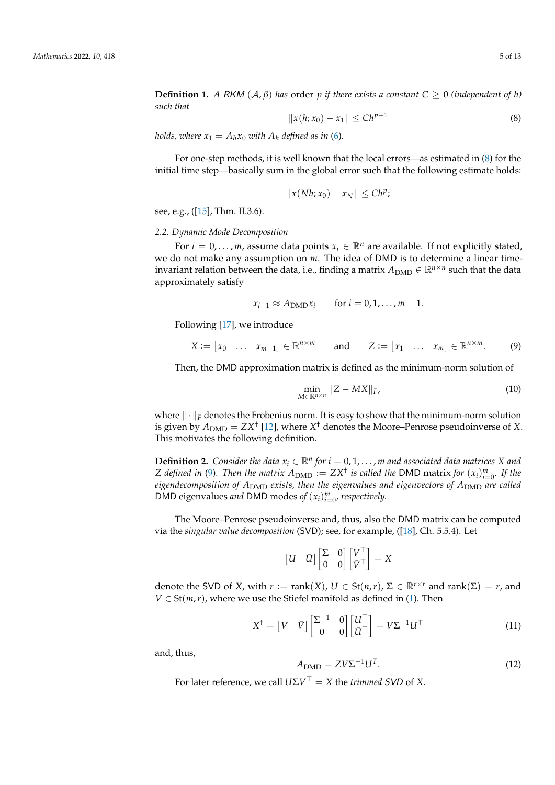**Definition 1.** *A* RKM  $(A, \beta)$  *has* order *p if there exists a constant*  $C \geq 0$  *(independent of h) such that*

<span id="page-4-1"></span>
$$
||x(h; x_0) - x_1|| \leq Ch^{p+1}
$$
 (8)

*holds, where*  $x_1 = A_h x_0$  *with*  $A_h$  *defined as in* [\(6\)](#page-3-1).

For one-step methods, it is well known that the local errors—as estimated in [\(8\)](#page-4-1) for the initial time step—basically sum in the global error such that the following estimate holds:

$$
||x(Nh;x_0)-x_N||\leq Ch^p;
$$

see, e.g., ([\[15\]](#page-12-10), Thm. II.3.6).

#### <span id="page-4-0"></span>*2.2. Dynamic Mode Decomposition*

For  $i = 0, \ldots, m$ , assume data points  $x_i \in \mathbb{R}^n$  are available. If not explicitly stated, we do not make any assumption on *m*. The idea of DMD is to determine a linear timeinvariant relation between the data, i.e., finding a matrix  $A_{\text{DMD}} \in \mathbb{R}^{n \times n}$  such that the data approximately satisfy

$$
x_{i+1} \approx A_{\text{DMD}} x_i \quad \text{for } i = 0, 1, \ldots, m-1.
$$

Following [\[17\]](#page-12-12), we introduce

<span id="page-4-2"></span>
$$
X := [x_0 \quad \dots \quad x_{m-1}] \in \mathbb{R}^{n \times m} \qquad \text{and} \qquad Z := [x_1 \quad \dots \quad x_m] \in \mathbb{R}^{n \times m}.
$$
 (9)

Then, the DMD approximation matrix is defined as the minimum-norm solution of

$$
\min_{M \in \mathbb{R}^{n \times n}} \|Z - MX\|_F,\tag{10}
$$

where  $\|\cdot\|_F$  denotes the Frobenius norm. It is easy to show that the minimum-norm solution is given by  $A_{\rm DMD} = Z X^\dagger$  [\[12\]](#page-12-7), where  $X^\dagger$  denotes the Moore–Penrose pseudoinverse of  $X$ . This motivates the following definition.

<span id="page-4-3"></span>**Definition 2.** *Consider the data*  $x_i \in \mathbb{R}^n$  *for*  $i = 0, 1, \ldots, m$  *and* associated data matrices X and *Z* defined in [\(9\)](#page-4-2). Then the matrix  $A_{\text{DMD}} := ZX^{\dagger}$  is called the DMD matrix for  $(x_i)_{i=0}^m$ . If the *eigendecomposition of A*<sub>DMD</sub> exists, then the eigenvalues and eigenvectors of A<sub>DMD</sub> are called DMD eigenvalues *and* DMD modes *of*  $(x_i)_{i=0}^m$ , respectively.

The Moore–Penrose pseudoinverse and, thus, also the DMD matrix can be computed via the *singular value decomposition* (SVD); see, for example, ([\[18\]](#page-12-13), Ch. 5.5.4). Let

$$
\begin{bmatrix} U & \bar{U} \end{bmatrix} \begin{bmatrix} \Sigma & 0 \\ 0 & 0 \end{bmatrix} \begin{bmatrix} V^{\top} \\ \bar{V}^{\top} \end{bmatrix} = X
$$

denote the SVD of *X*, with  $r := \text{rank}(X)$ ,  $U \in \text{St}(n,r)$ ,  $\Sigma \in \mathbb{R}^{r \times r}$  and  $\text{rank}(\Sigma) = r$ , and  $V \in St(m,r)$ , where we use the Stiefel manifold as defined in [\(1\)](#page-2-4). Then

$$
X^{\dagger} = \begin{bmatrix} V & \hat{V} \end{bmatrix} \begin{bmatrix} \Sigma^{-1} & 0 \\ 0 & 0 \end{bmatrix} \begin{bmatrix} U^{\top} \\ \bar{U}^{\top} \end{bmatrix} = V\Sigma^{-1}U^{\top}
$$
(11)

and, thus,

$$
A_{\text{DMD}} = ZV\Sigma^{-1}U^{T}.
$$
\n(12)

For later reference, we call  $U\Sigma V^{\dagger} = X$  the *trimmed* SVD of X.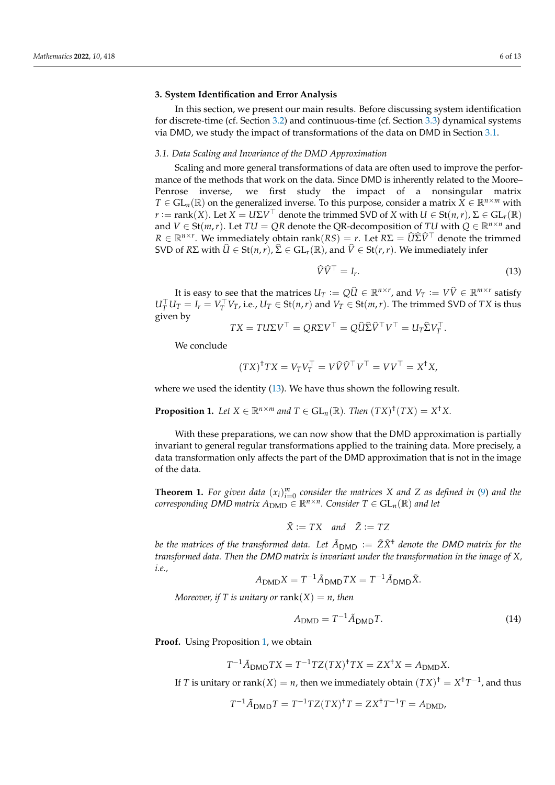#### <span id="page-5-2"></span>**3. System Identification and Error Analysis**

In this section, we present our main results. Before discussing system identification for discrete-time (cf. Section [3.2\)](#page-6-1) and continuous-time (cf. Section [3.3\)](#page-7-0) dynamical systems via DMD, we study the impact of transformations of the data on DMD in Section [3.1.](#page-5-0)

#### <span id="page-5-0"></span>*3.1. Data Scaling and Invariance of the DMD Approximation*

Scaling and more general transformations of data are often used to improve the performance of the methods that work on the data. Since DMD is inherently related to the Moore– Penrose inverse, we first study the impact of a nonsingular matrix  $T \in GL_n(\mathbb{R})$  on the generalized inverse. To this purpose, consider a matrix  $X \in \mathbb{R}^{n \times m}$  with *r* := rank(*X*). Let *X* = *U*Σ*V*<sup>T</sup> denote the trimmed SVD of *X* with *U* ∈ St(*n*,*r*), Σ ∈ GL<sub>*r*</sub>(ℝ) and  $V \in St(m,r)$ . Let  $TU = QR$  denote the QR-decomposition of  $TU$  with  $Q \in \mathbb{R}^{n \times n}$  and  $R \in \mathbb{R}^{n \times r}$ . We immediately obtain rank $(RS) = r$ . Let  $R\Sigma = \widehat{U}\widehat{\Sigma}\widehat{V}$ <sup>†</sup> denote the trimmed SVD of *R*Σ with  $\hat{U}$  ∈ St(*n*,*r*),  $\hat{\Sigma}$  ∈ GL<sub>*r*</sub>(ℝ), and  $\hat{V}$  ∈ St(*r*,*r*). We immediately infer

<span id="page-5-3"></span>
$$
\widehat{V}\widehat{V}^{\top} = I_r. \tag{13}
$$

It is easy to see that the matrices  $U_T := Q\hat{U} \in \mathbb{R}^{n \times r}$ , and  $V_T := V\hat{V} \in \mathbb{R}^{m \times r}$  satisfy  $U_T^{\perp} U_T = I_r = V_T^{\perp} V_T$ , i.e.,  $U_T \in St(n,r)$  and  $V_T \in St(m,r)$ . The trimmed SVD of *TX* is thus given by

$$
TX = TU\Sigma V^{\top} = QR\Sigma V^{\top} = Q\widehat{U}\widehat{\Sigma}\widehat{V}^{\top}V^{\top} = U_T\widehat{\Sigma}V_T^{\top}.
$$

We conclude

$$
(TX)^{\dagger}TX = V_T V_T^{\top} = V \widehat{V} \widehat{V}^{\top} V^{\top} = V V^{\top} = X^{\dagger} X,
$$

<span id="page-5-4"></span>where we used the identity [\(13\)](#page-5-3). We have thus shown the following result.

**Proposition 1.** Let  $X \in \mathbb{R}^{n \times m}$  and  $T \in GL_n(\mathbb{R})$ . Then  $(TX)^{\dagger}(TX) = X^{\dagger}X$ .

With these preparations, we can now show that the DMD approximation is partially invariant to general regular transformations applied to the training data. More precisely, a data transformation only affects the part of the DMD approximation that is not in the image of the data.

<span id="page-5-1"></span>**Theorem 1.** For given data  $(x_i)_{i=0}^m$  consider the matrices X and Z as defined in [\(9\)](#page-4-2) and the  $corresponding *DMD matrix*  $A_{\text{DMD}} \in \mathbb{R}^{n \times n}$ . Consider  $T \in GL_n(\mathbb{R})$  and let$ 

$$
\tilde{X} := TX \quad and \quad \tilde{Z} := TZ
$$

*be the matrices of the transformed data. Let*  $\tilde{A}_{DMD} := \tilde{Z}\tilde{X}^{\dagger}$  *denote the DMD matrix for the transformed data. Then the* DMD *matrix is invariant under the transformation in the image of X, i.e.,*

$$
A_{\text{DMD}}X = T^{-1}\tilde{A}_{\text{DMD}}TX = T^{-1}\tilde{A}_{\text{DMD}}\tilde{X}.
$$

*Moreover, if* T is unitary or rank $(X) = n$ , then

<span id="page-5-5"></span>
$$
A_{\text{DMD}} = T^{-1} \tilde{A}_{\text{DMD}} T. \tag{14}
$$

Proof. Using Proposition [1,](#page-5-4) we obtain

$$
T^{-1}\tilde{A}_{\text{DMD}}TX = T^{-1}TZ(TX)^{\dagger}TX = ZX^{\dagger}X = A_{\text{DMD}}X.
$$

If *T* is unitary or rank $(X) = n$ , then we immediately obtain  $(TX)^{\dagger} = X^{\dagger}T^{-1}$ , and thus

$$
T^{-1}\tilde{A}_{\text{DMD}}T = T^{-1}TZ(TX)^{\dagger}T = ZX^{\dagger}T^{-1}T = A_{\text{DMD}}.
$$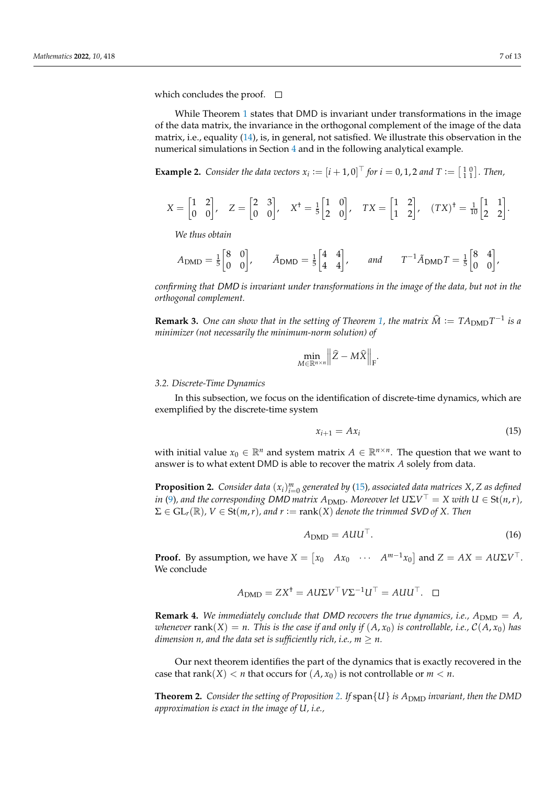which concludes the proof.  $\Box$ 

While Theorem [1](#page-5-1) states that DMD is invariant under transformations in the image of the data matrix, the invariance in the orthogonal complement of the image of the data matrix, i.e., equality [\(14\)](#page-5-5), is, in general, not satisfied. We illustrate this observation in the numerical simulations in Section [4](#page-9-0) and in the following analytical example.

**Example 2.** *Consider the data vectors*  $x_i := [i + 1, 0]^\top$  *for*  $i = 0, 1, 2$  *and*  $T := \begin{bmatrix} 1 & 0 \\ 1 & 1 \end{bmatrix}$ *. Then,* 

$$
X = \begin{bmatrix} 1 & 2 \\ 0 & 0 \end{bmatrix}, \quad Z = \begin{bmatrix} 2 & 3 \\ 0 & 0 \end{bmatrix}, \quad X^{\dagger} = \frac{1}{5} \begin{bmatrix} 1 & 0 \\ 2 & 0 \end{bmatrix}, \quad TX = \begin{bmatrix} 1 & 2 \\ 1 & 2 \end{bmatrix}, \quad (TX)^{\dagger} = \frac{1}{10} \begin{bmatrix} 1 & 1 \\ 2 & 2 \end{bmatrix}.
$$

*We thus obtain*

$$
A_{\text{DMD}} = \frac{1}{5} \begin{bmatrix} 8 & 0 \\ 0 & 0 \end{bmatrix}, \qquad \tilde{A}_{\text{DMD}} = \frac{1}{5} \begin{bmatrix} 4 & 4 \\ 4 & 4 \end{bmatrix}, \qquad \text{and} \qquad T^{-1} \tilde{A}_{\text{DMD}} T = \frac{1}{5} \begin{bmatrix} 8 & 4 \\ 0 & 0 \end{bmatrix},
$$

*confirming that* DMD *is invariant under transformations in the image of the data, but not in the orthogonal complement.*

**Remark 3.** One can show that in the setting of Theorem [1,](#page-5-1) the matrix  $\hat{M} := TA_{\text{DMD}}T^{-1}$  is a *minimizer (not necessarily the minimum-norm solution) of*

$$
\min_{M\in\mathbb{R}^{n\times n}}\Big\|\widehat{Z}-M\widehat{X}\Big\|_{\mathrm{F}}.
$$

#### <span id="page-6-1"></span>*3.2. Discrete-Time Dynamics*

In this subsection, we focus on the identification of discrete-time dynamics, which are exemplified by the discrete-time system

<span id="page-6-2"></span>
$$
x_{i+1} = A x_i \tag{15}
$$

with initial value  $x_0 \in \mathbb{R}^n$  and system matrix  $A \in \mathbb{R}^{n \times n}$ . The question that we want to answer is to what extent DMD is able to recover the matrix *A* solely from data.

<span id="page-6-3"></span>**Proposition 2.** *Consider data*  $(x_i)_{i=0}^m$  *generated by* [\(15\)](#page-6-2)*, associated data matrices*  $X$ *,*  $Z$  *as defined in* [\(9\)](#page-4-2), and the corresponding DMD matrix  $A_{\text{DMD}}$ . Moreover let  $U\Sigma V^{\perp} = X$  with  $U \in \text{St}(n,r)$ ,  $\Sigma \in GL_r(\mathbb{R})$ ,  $V \in St(m,r)$ , and  $r := rank(X)$  denote the trimmed SVD of X. Then

$$
A_{\text{DMD}} = A U U^{\top}.
$$
 (16)

**Proof.** By assumption, we have  $X = \begin{bmatrix} x_0 & Ax_0 & \cdots & A^{m-1}x_0 \end{bmatrix}$  and  $Z = AX = A U \Sigma V^{\top}$ . We conclude

$$
A_{\text{DMD}} = ZX^{\dagger} = A U \Sigma V^{\top} V \Sigma^{-1} U^{\top} = A U U^{\top}. \quad \Box
$$

<span id="page-6-4"></span>**Remark 4.** We immediately conclude that DMD recovers the true dynamics, i.e.,  $A_{\text{DMD}} = A$ , *whenever* rank(*X*) = *n.* This is the case if and only if  $(A, x_0)$  is controllable, i.e.,  $C(A, x_0)$  has *dimension n, and the data set is sufficiently rich, i.e.,*  $m \geq n$ *.* 

Our next theorem identifies the part of the dynamics that is exactly recovered in the case that  $rank(X) < n$  that occurs for  $(A, x_0)$  is not controllable or  $m < n$ .

<span id="page-6-0"></span>**Theorem [2.](#page-6-3)** *Consider the setting of Proposition* 2. *If*  $\text{span}\{U\}$  *is*  $A_{\text{DMD}}$  *invariant, then the DMD approximation is exact in the image of U, i.e.,*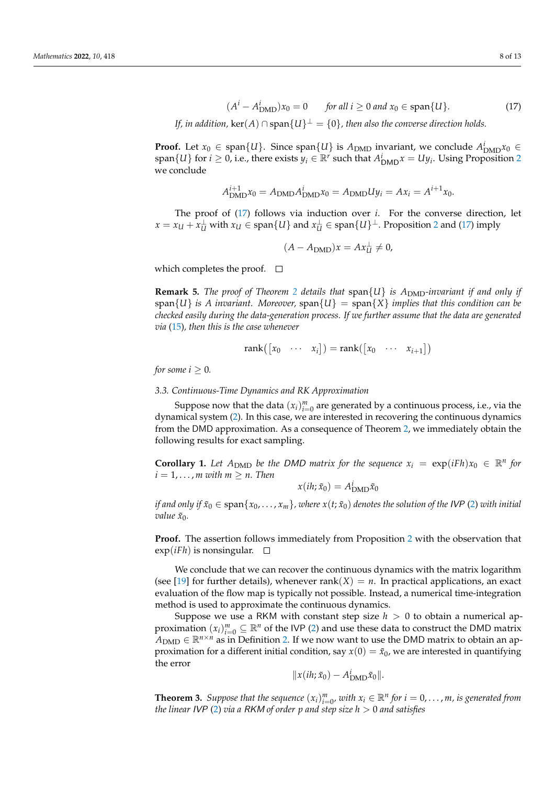<span id="page-7-2"></span>
$$
(Ai - AiDMD)x0 = 0 \tfor all i \ge 0 and x0 \in span{U}.
$$
 (17)

*If, in addition,*  $\ker(A) \cap \text{span}\{U\}^\perp = \{0\}$ *, then also the converse direction holds.* 

**Proof.** Let  $x_0 \in \text{span}\{U\}$ . Since  $\text{span}\{U\}$  is  $A_{\text{DMD}}$  invariant, we conclude  $A_{\text{DMD}}^i x_0 \in$  $\{U\}$  for  $i \geq 0$ , i.e., there exists  $y_i \in \mathbb{R}^r$  such that  $A^i_{\text{DMD}}x = Uy_i$ . Using Proposition [2](#page-6-3) we conclude

$$
A_{\text{DMD}}^{i+1} x_0 = A_{\text{DMD}} A_{\text{DMD}}^i x_0 = A_{\text{DMD}} U y_i = A x_i = A^{i+1} x_0.
$$

The proof of [\(17\)](#page-7-2) follows via induction over *i*. For the converse direction, let  $x = x_U + x_U^{\perp}$  with  $x_U \in \text{span}\{U\}$  and  $x_U^{\perp} \in \text{span}\{U\}^{\perp}$ . Proposition [2](#page-6-3) and [\(17\)](#page-7-2) imply

$$
(A - A_{\text{DMD}})x = Ax_U^{\perp} \neq 0,
$$

which completes the proof.  $\square$ 

**Remark 5.** *The proof of Theorem [2](#page-6-0) details that*  $span\{U\}$  *is A<sub>DMD</sub>-invariant if and only if*  $span{U}$  *is A invariant. Moreover,*  $span{U}$  =  $span{X}$  *implies that this condition can be checked easily during the data-generation process. If we further assume that the data are generated via* [\(15\)](#page-6-2)*, then this is the case whenever*

$$
rank([x_0 \cdots x_i]) = rank([x_0 \cdots x_{i+1}])
$$

*for some*  $i \geq 0$ *.* 

<span id="page-7-0"></span>*3.3. Continuous-Time Dynamics and RK Approximation*

Suppose now that the data  $(x_i)_{i=0}^m$  are generated by a continuous process, i.e., via the dynamical system [\(2\)](#page-2-2). In this case, we are interested in recovering the continuous dynamics from the DMD approximation. As a consequence of Theorem [2,](#page-6-0) we immediately obtain the following results for exact sampling.

**Corollary 1.** Let  $A_{\text{DMD}}$  be the DMD matrix for the sequence  $x_i = \exp(iFh)x_0 \in \mathbb{R}^n$  for  $i = 1, \ldots, m$  with  $m \geq n$ . Then

$$
x(ih; \tilde{x}_0) = A_{\text{DMD}}^i \tilde{x}_0
$$

*if and only if*  $\tilde{x}_0 \in \text{span}\{x_0, \ldots, x_m\}$ , where  $x(t; \tilde{x}_0)$  denotes the solution of the IVP [\(2\)](#page-2-2) with initial *value x*˜0*.*

**Proof.** The assertion follows immediately from Proposition [2](#page-6-3) with the observation that  $exp(iFh)$  is nonsingular.  $\square$ 

We conclude that we can recover the continuous dynamics with the matrix logarithm (see [\[19\]](#page-12-14) for further details), whenever rank( $X$ ) =  $n$ . In practical applications, an exact evaluation of the flow map is typically not possible. Instead, a numerical time-integration method is used to approximate the continuous dynamics.

Suppose we use a RKM with constant step size  $h > 0$  to obtain a numerical approximation  $(x_i)_{i=0}^m \subseteq \mathbb{R}^n$  of the IVP [\(2\)](#page-2-2) and use these data to construct the DMD matrix  $\overline{A}_{\text{DMD}} \in \mathbb{R}^{n \times n}$  as in Definition [2.](#page-4-3) If we now want to use the DMD matrix to obtain an approximation for a different initial condition, say  $x(0) = \tilde{x}_0$ , we are interested in quantifying the error

$$
||x(ih; \tilde{x}_0) - A^i_{\text{DMD}} \tilde{x}_0||.
$$

<span id="page-7-1"></span>**Theorem 3.** *Suppose that the sequence*  $(x_i)_{i=0}^m$ , *with*  $x_i \in \mathbb{R}^n$  *for*  $i = 0, \ldots, m$ , *is generated from the linear* IVP [\(2\)](#page-2-2) *via a* RKM *of order p and step size h* > 0 *and satisfies*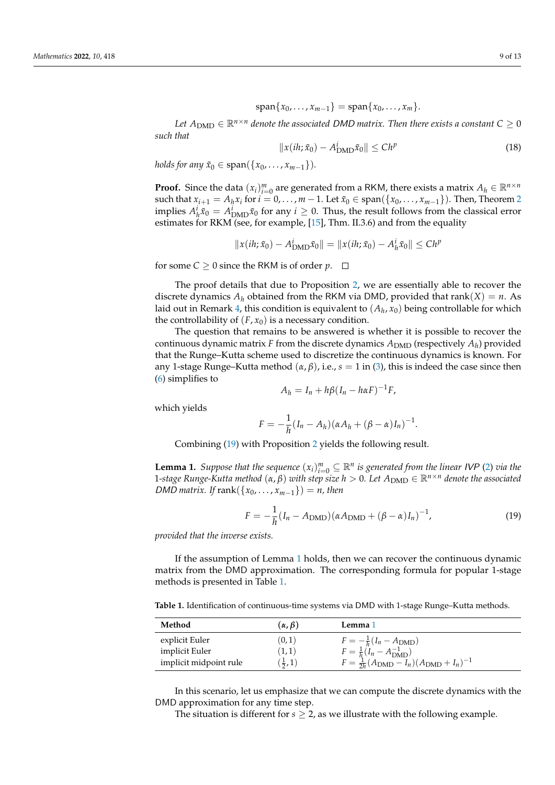$$
\mathrm{span}\{x_0,\ldots,x_{m-1}\}=\mathrm{span}\{x_0,\ldots,x_m\}.
$$

*Let*  $A_{\text{DMD}} \in \mathbb{R}^{n \times n}$  *denote the associated DMD matrix. Then there exists a constant*  $C \geq 0$ *such that*

$$
\|x(ih; \tilde{x}_0) - A^i_{\text{DMD}} \tilde{x}_0\| \le Ch^p \tag{18}
$$

*holds for any*  $\tilde{x}_0 \in \text{span}(\{x_0, ..., x_{m-1}\})$ *.* 

**Proof.** Since the data  $(x_i)_{i=0}^m$  are generated from a RKM, there exists a matrix  $A_h \in \mathbb{R}^{n \times n}$ such that  $x_{i+1} = A_i x_i$  for  $i = 0, \ldots, m-1$ . Let  $\tilde{x}_0 \in \text{span}(\{x_0, \ldots, x_{m-1}\})$ . Then, Theorem [2](#page-6-0) implies  $A^i_h \tilde{x}_0 = A^i_{\text{DMD}} \tilde{x}_0$  for any  $i \geq 0$ . Thus, the result follows from the classical error estimates for RKM (see, for example, [\[15\]](#page-12-10), Thm. II.3.6) and from the equality

$$
||x(ih; \tilde{x}_0) - A^i_{\text{DMD}} \tilde{x}_0|| = ||x(ih; \tilde{x}_0) - A^i_h \tilde{x}_0|| \le Ch^p
$$

for some  $C \ge 0$  since the RKM is of order  $p$ .  $\Box$ 

The proof details that due to Proposition [2,](#page-6-3) we are essentially able to recover the discrete dynamics  $A_h$  obtained from the RKM via DMD, provided that rank $(X) = n$ . As laid out in Remark [4,](#page-6-4) this condition is equivalent to  $(A_h,x_0)$  being controllable for which the controllability of  $(F, x_0)$  is a necessary condition.

The question that remains to be answered is whether it is possible to recover the continuous dynamic matrix *F* from the discrete dynamics  $A_{\rm DMD}$  (respectively  $A_h$ ) provided that the Runge–Kutta scheme used to discretize the continuous dynamics is known. For any 1-stage Runge–Kutta method  $(\alpha, \beta)$ , i.e.,  $s = 1$  in [\(3\)](#page-2-3), this is indeed the case since then [\(6\)](#page-3-1) simplifies to

$$
A_h = I_n + h\beta(I_n - h\alpha F)^{-1}F,
$$

which yields

$$
F=-\frac{1}{h}(I_n-A_h)(\alpha A_h+(\beta-\alpha)I_n)^{-1}.
$$

Combining [\(19\)](#page-8-1) with Proposition [2](#page-6-3) yields the following result.

<span id="page-8-0"></span>**Lemma 1.** *Suppose that the sequence*  $(x_i)_{i=0}^m \subseteq \mathbb{R}^n$  *is generated from the linear IVP* [\(2\)](#page-2-2) *via the*  $1$ *-stage Runge-Kutta method*  $(α, β)$  *with step size*  $h > 0$ *. Let*  $A_{\text{DMD}} ∈ ℝ<sup>n×n</sup>$  *denote the associated DMD matrix. If* rank $({x_0, \ldots, x_{m-1}}) = n$ , then

<span id="page-8-1"></span>
$$
F = -\frac{1}{h}(I_n - A_{\text{DMD}})(\alpha A_{\text{DMD}} + (\beta - \alpha)I_n)^{-1},
$$
\n(19)

*provided that the inverse exists.*

If the assumption of Lemma [1](#page-8-0) holds, then we can recover the continuous dynamic matrix from the DMD approximation. The corresponding formula for popular 1-stage methods is presented in Table [1.](#page-8-2)

<span id="page-8-2"></span>Table 1. Identification of continuous-time systems via DMD with 1-stage Runge–Kutta methods.

| Method                 | $(\alpha, \beta)$ | Lemma 1                                                             |
|------------------------|-------------------|---------------------------------------------------------------------|
| explicit Euler         | (0,1)             | $F = -\frac{1}{h}(I_n - A_{\text{DMD}})$                            |
| implicit Euler         | (1,1)             | $F = \frac{1}{h}(\ddot{I}_n - A_{\rm DMD}^{-1})$                    |
| implicit midpoint rule | $(\frac{1}{2},1)$ | $F = \frac{1}{2h}(A_{\text{DMD}} - I_n)(A_{\text{DMD}} + I_n)^{-1}$ |

In this scenario, let us emphasize that we can compute the discrete dynamics with the DMD approximation for any time step.

The situation is different for  $s \geq 2$ , as we illustrate with the following example.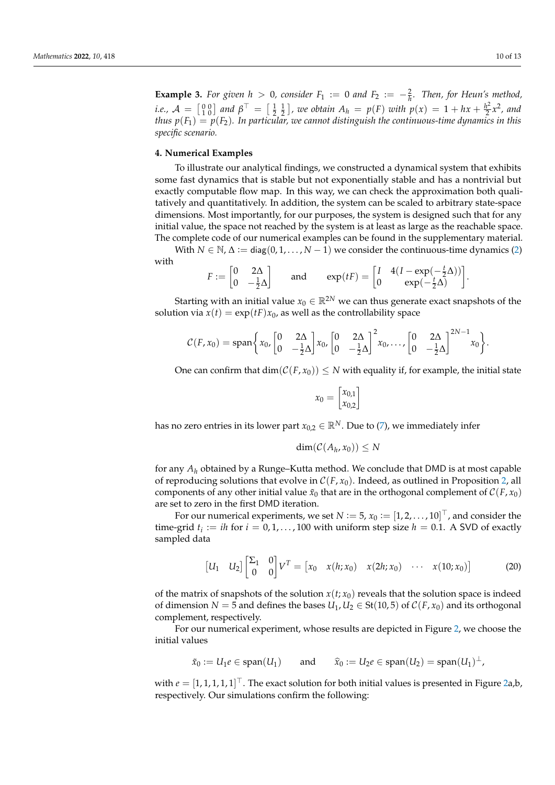**Example 3.** For given  $h > 0$ , consider  $F_1 := 0$  and  $F_2 := -\frac{2}{h}$ . Then, for Heun's method, *i.e.,*  $A = \begin{bmatrix} 0 & 0 \\ 1 & 0 \end{bmatrix}$  and  $\beta^{\top} = \begin{bmatrix} \frac{1}{2} & \frac{1}{2} \end{bmatrix}$ , we obtain  $A_h = p(F)$  with  $p(x) = 1 + hx + \frac{h^2}{2}$  $\frac{h^2}{2}x^2$ , and *thus*  $p(F_1) = p(F_2)$ . In particular, we cannot distinguish the continuous-time dynamics in this *specific scenario.*

#### <span id="page-9-0"></span>**4. Numerical Examples**

To illustrate our analytical findings, we constructed a dynamical system that exhibits some fast dynamics that is stable but not exponentially stable and has a nontrivial but exactly computable flow map. In this way, we can check the approximation both qualitatively and quantitatively. In addition, the system can be scaled to arbitrary state-space dimensions. Most importantly, for our purposes, the system is designed such that for any initial value, the space not reached by the system is at least as large as the reachable space. The complete code of our numerical examples can be found in the supplementary material.

With  $N \in \mathbb{N}$ ,  $\Delta := \text{diag}(0, 1, \ldots, N - 1)$  we consider the continuous-time dynamics [\(2\)](#page-2-2) with

$$
F := \begin{bmatrix} 0 & 2\Delta \\ 0 & -\frac{1}{2}\Delta \end{bmatrix} \quad \text{and} \quad \exp(tF) = \begin{bmatrix} I & 4(I - \exp(-\frac{t}{2}\Delta)) \\ 0 & \exp(-\frac{t}{2}\Delta) \end{bmatrix}.
$$

Starting with an initial value  $x_0 \in \mathbb{R}^{2N}$  we can thus generate exact snapshots of the solution via  $x(t) = \exp(tF)x_0$ , as well as the controllability space

$$
C(F,x_0)=\text{span}\bigg\{x_0,\begin{bmatrix}0&2\Delta\\0&-\frac{1}{2}\Delta\end{bmatrix}x_0,\begin{bmatrix}0&2\Delta\\0&-\frac{1}{2}\Delta\end{bmatrix}^2x_0,\ldots,\begin{bmatrix}0&2\Delta\\0&-\frac{1}{2}\Delta\end{bmatrix}^{2N-1}x_0\bigg\}.
$$

One can confirm that  $\dim(\mathcal{C}(F, x_0)) \leq N$  with equality if, for example, the initial state

$$
x_0 = \begin{bmatrix} x_{0,1} \\ x_{0,2} \end{bmatrix}
$$

has no zero entries in its lower part  $x_{0,2} \in \mathbb{R}^N$ . Due to [\(7\)](#page-3-3), we immediately infer

$$
\dim(\mathcal{C}(A_h,x_0))\leq N
$$

for any *A<sup>h</sup>* obtained by a Runge–Kutta method. We conclude that DMD is at most capable of reproducing solutions that evolve in  $C(F, x_0)$ . Indeed, as outlined in Proposition [2,](#page-6-3) all components of any other initial value  $\tilde{x}_0$  that are in the orthogonal complement of  $C(F, x_0)$ are set to zero in the first DMD iteration.

For our numerical experiments, we set  $N := 5$ ,  $x_0 := [1, 2, \ldots, 10]^\top$  , and consider the time-grid  $t_i := i h$  for  $i = 0, 1, ..., 100$  with uniform step size  $h = 0.1$ . A SVD of exactly sampled data

$$
\begin{bmatrix} U_1 & U_2 \end{bmatrix} \begin{bmatrix} \Sigma_1 & 0 \\ 0 & 0 \end{bmatrix} V^T = \begin{bmatrix} x_0 & x(h; x_0) & x(2h; x_0) & \cdots & x(10; x_0) \end{bmatrix}
$$
 (20)

of the matrix of snapshots of the solution  $x(t; x_0)$  reveals that the solution space is indeed of dimension *N* = 5 and defines the bases  $U_1, U_2 \in St(10, 5)$  of  $C(F, x_0)$  and its orthogonal complement, respectively.

For our numerical experiment, whose results are depicted in Figure [2,](#page-11-0) we choose the initial values

$$
\tilde{x}_0 := U_1 e \in \text{span}(U_1)
$$
 and  $\hat{x}_0 := U_2 e \in \text{span}(U_2) = \text{span}(U_1)^{\perp}$ ,

with  $e=[1,1,1,1,1]^\top$  . The exact solution for both initial values is presented in Figure [2a](#page-11-0),b, respectively. Our simulations confirm the following: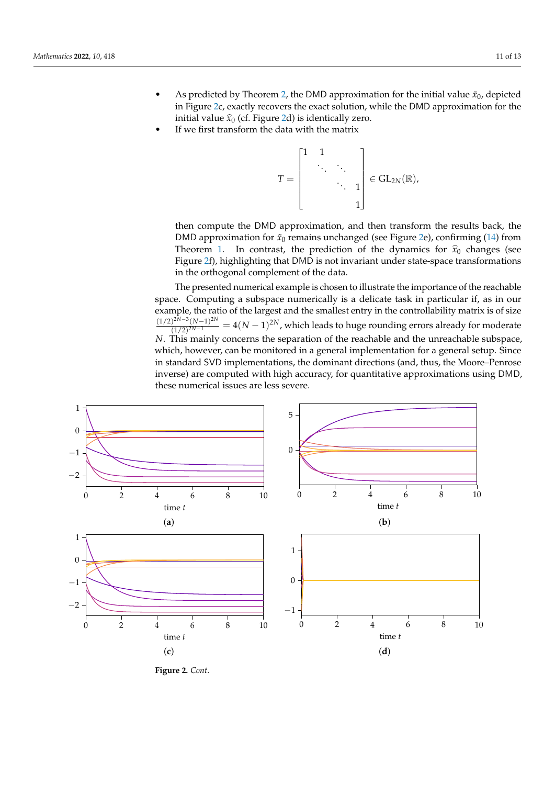- As predicted by Theorem [2,](#page-6-0) the DMD approximation for the initial value  $\tilde{x}_0$ , depicted in Figure [2c](#page-11-0), exactly recovers the exact solution, while the DMD approximation for the initial value  $\hat{x}_0$  (cf. Figure [2d](#page-11-0)) is identically zero.
- If we first transform the data with the matrix

$$
T=\begin{bmatrix}1&1&&\\&\ddots&\ddots&\\&&\ddots&1\\&&&1\\&&&1\end{bmatrix}\in\mathrm{GL}_{2N}(\mathbb{R}),
$$

then compute the DMD approximation, and then transform the results back, the DMD approximation for  $\tilde{x}_0$  remains unchanged (see Figure [2e](#page-11-0)), confirming [\(14\)](#page-5-5) from Theorem [1.](#page-5-1) In contrast, the prediction of the dynamics for  $\hat{x}_0$  changes (see Figure [2f](#page-11-0)), highlighting that DMD is not invariant under state-space transformations in the orthogonal complement of the data.

The presented numerical example is chosen to illustrate the importance of the reachable space. Computing a subspace numerically is a delicate task in particular if, as in our example, the ratio of the largest and the smallest entry in the controllability matrix is of size  $\frac{(1/2)^{2N-3}(N-1)^{2N}}{2N}$  $\frac{1}{2^{2N-3}(N-1)^{2N}} = 4(N-1)^{2N}$ , which leads to huge rounding errors already for moderate *N*. This mainly concerns the separation of the reachable and the unreachable subspace, which, however, can be monitored in a general implementation for a general setup. Since in standard SVD implementations, the dominant directions (and, thus, the Moore–Penrose inverse) are computed with high accuracy, for quantitative approximations using DMD, these numerical issues are less severe.



**Figure 2.** *Cont*.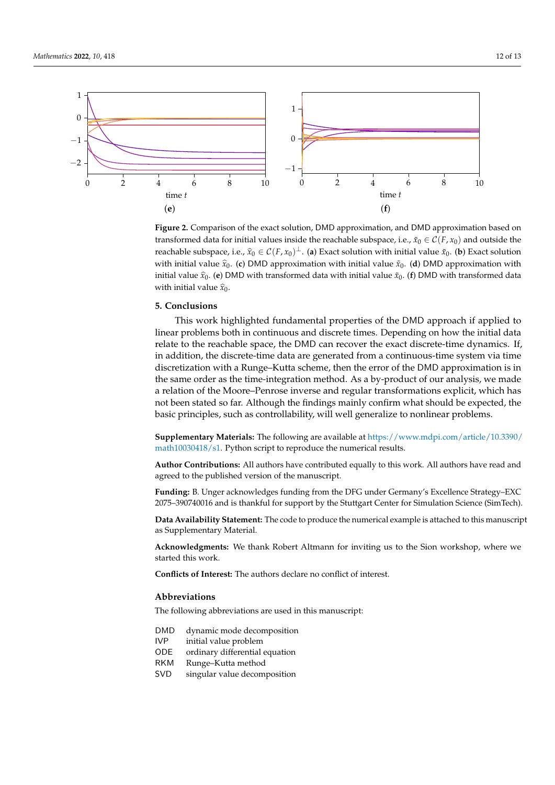<span id="page-11-0"></span>

Figure 2. Comparison of the exact solution, DMD approximation, and DMD approximation based on transformed data for initial values inside the reachable subspace, i.e.,  $\tilde{x}_0 \in C(F, x_0)$  and outside the reachable subspace, i.e.,  $\hat{x}_0 \in C(F, x_0)^\perp$ . (a) Exact solution with initial value  $\tilde{x}_0$ . (b) Exact solution actiable subspace, i.e.,  $x_0 \in C(1, x_0)$ . (a) Exact solution with initial value  $x_0$ . (b) Exact s<br>ith initial value  $\hat{x}$ , (c) DMD approximation with initial value  $\tilde{x}$ , (d) DMD approximati ith initial valu<br><sup>30.</sup>0. abo 2 with initial value  $\hat{x}_0$ . reactiable subspace, i.e.,  $x_0 \in C(F, x_0)$ . (a) Exact solution with initial value  $x_0$ . (b) Exact<br>with initial value  $\hat{x}$ . (c) DMD approximation with initial value  $\tilde{x}$ . (d) DMD approxim with initial value  $\hat{x}_0$ . (c) DMD approximation with initial value  $\tilde{x}_0$ . (**d**) DMD approximation with initial value  $\tilde{x}_0$ . initial value  $\hat{x}_0$ . (**e**) DMD with transformed data with initial value  $\tilde{x}_0$ . (**f**) DMD with transformed data

#### linear problems both in continuous and discrete times. Depending on how the initial data linear problems both in continuous and discrete times. Depending on how the initial data **5. Conclusions**

This work highlighted fundamental properties of the DMD approach if applied to linear problems both in continuous and discrete times. Depending on how the initial data discretization with a Runge-Kutta scheme  $\mathcal{L}$  and  $\mathcal{L}$  approximation is interested the error of the error of the error of the error of the error of the error of the error of the error of the error of the error of the same of the traction space, the DMD can recover the exact discrete-time dynamic in addition, the discrete-time data are generated from a continuous-time system via time discretization with a Runge-Kutta scheme, then the error of the DMD approximation is in the same order as the time-integration method. As a by-product of our analysis, we made discretization with a Runge-Kutta scheme, the error of the error of the error of the error of the DMD approximation is in the error of the error of the DMD approximation is in the error of the error of the error of the err relate to the reachable space, the DMD can recover the exact discrete-time dynamics. If, a relation of the Moore–Penrose inverse and regular transformations explicit, which has not been stated so far. Although the findings mainly confirm what should be expected, the basic principles, such as controllability, will well generalize to nonlinear problems.

**Supplementary Materials:** The following are available at [https://www.mdpi.com/article/10.3390/](https://www.mdpi.com/article/10.3390/math10030418/s1) [math10030418/s1.](https://www.mdpi.com/article/10.3390/math10030418/s1) Python script to reproduce the numerical results.

**Author Contributions:** All authors have contributed equally to this work. All authors have read and agreed to the published version of the manuscript.

**Funding:** B. Unger acknowledges funding from the DFG under Germany's Excellence Strategy–EXC 2075–390740016 and is thankful for support by the Stuttgart Center for Simulation Science (SimTech).

**Data Availability Statement:** The code to produce the numerical example is attached to this manuscript as Supplementary Material.

**Acknowledgments:** We thank Robert Altmann for inviting us to the Sion workshop, where we started this work.

**Conflicts of Interest:** The authors declare no conflict of interest.

# **Abbreviations**

The following abbreviations are used in this manuscript:

- DMD dynamic mode decomposition
- IVP initial value problem
- ODE ordinary differential equation
- RKM Runge–Kutta method
- SVD singular value decomposition